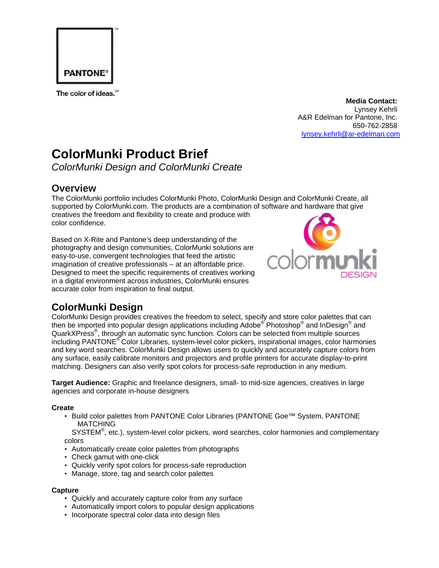

The color of ideas.<sup>SM</sup>

### **Media Contact:**

Lynsey Kehrli A&R Edelman for Pantone, Inc. 650-762-2858 [lynsey.kehrli@ar-edelman.com](mailto:lynsey.kehrli@ar-edelman.com)

# **ColorMunki Product Brief**

*ColorMunki Design and ColorMunki Create* 

### **Overview**

The ColorMunki portfolio includes ColorMunki Photo, ColorMunki Design and ColorMunki Create, all supported by ColorMunki.com. The products are a combination of [software and hardware that give](http://www.colormunki.com/)  creatives the freedom and flexibility to create and produce with color confidence.

Based on X-Rite and Pantone's deep understanding of the photography and design communities, ColorMunki solutions are easy-to-use, convergent technologies that feed the artistic imagination of creative professionals – at an affordable price. Designed to meet the specific requirements of creatives working in a digital environment across industries, ColorMunki ensures accurate color from inspiration to final output.



# **ColorMunki Design**

ColorMunki Design provides creatives the freedom to select, specify and store color palettes that can then be imported into popular design applications including Adobe<sup>®</sup> Photoshop<sup>®</sup> and InDesign<sup>®</sup> and QuarkXPress® , through an automatic sync function. Colors can be selected from multiple sources including PANTONE® Color Libraries, system-level color pickers, inspirational images, color harmonies and key word searches. ColorMunki Design allows users to quickly and accurately capture colors from any surface, easily calibrate monitors and projectors and profile printers for accurate display-to-print matching. Designers can also verify spot colors for process-safe reproduction in any medium.

**Target Audience:** Graphic and freelance designers, small- to mid-size agencies, creatives in large agencies and corporate in-house designers

#### **Create**

• Build color palettes from PANTONE Color Libraries (PANTONE Goe™ System, PANTONE **MATCHING** 

SYSTEM<sup>®</sup>, etc.), system-level color pickers, word searches, color harmonies and complementary colors

- Automatically create color palettes from photographs
- Check gamut with one-click
- Quickly verify spot colors for process-safe reproduction
- Manage, store, tag and search color palettes

#### **Capture**

- Quickly and accurately capture color from any surface
- Automatically import colors to popular design applications
- Incorporate spectral color data into design files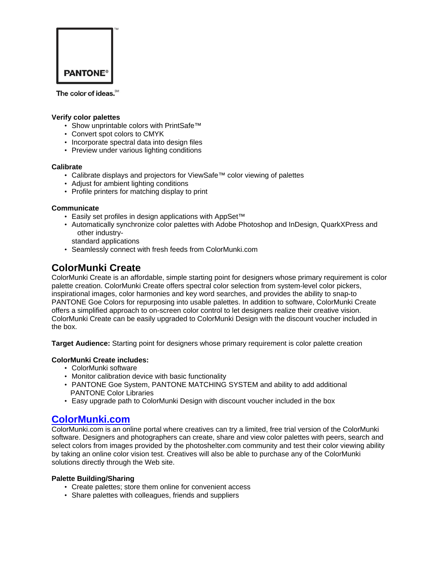

The color of ideas.<sup>5M</sup>

#### **Verify color palettes**

- Show unprintable colors with PrintSafe™
- Convert spot colors to CMYK
- Incorporate spectral data into design files
- Preview under various lighting conditions

#### **Calibrate**

- Calibrate displays and projectors for ViewSafe™ color viewing of palettes
- Adjust for ambient lighting conditions
- Profile printers for matching display to print

#### **Communicate**

- Easily set profiles in design applications with AppSet™
- Automatically synchronize color palettes with Adobe Photoshop and InDesign, QuarkXPress and other industry
	- standard applications
- Seamlessly connect with fresh feeds from ColorMunki.com

## **ColorMunki Create**

ColorMunki Create is an affordable, simple starting point for designers whose primary requirement is color palette creation. ColorMunki Create offers spectral color selection from system-level color pickers, inspirational images, color harmonies and key word searches, and provides the ability to snap-to PANTONE Goe Colors for repurposing into usable palettes. In addition to software, ColorMunki Create offers a simplified approach to on-screen color control to let designers realize their creative vision. ColorMunki Create can be easily upgraded to ColorMunki Design with the discount voucher included in the box.

**Target Audience:** Starting point for designers whose primary requirement is color palette creation

#### **ColorMunki Create includes:**

- ColorMunki software
- Monitor calibration device with basic functionality
- PANTONE Goe System, PANTONE MATCHING SYSTEM and ability to add additional PANTONE Color Libraries
- Easy upgrade path to ColorMunki Design with discount voucher included in the box

### **[ColorMunki.com](http://www.colormunki.com/)**

ColorMunki.com is an online portal where creatives can try a limited, free trial version of the ColorMunki software. Designers and photographers can create, share and view color palettes with peers, search and select colors from images provided by the photoshelter.com community and test their color viewing ability by taking an online color vision test. Creatives will also be able to purchase any of the ColorMunki solutions directly through the Web site.

#### **Palette Building/Sharing**

- Create palettes; store them online for convenient access
- Share palettes with colleagues, friends and suppliers